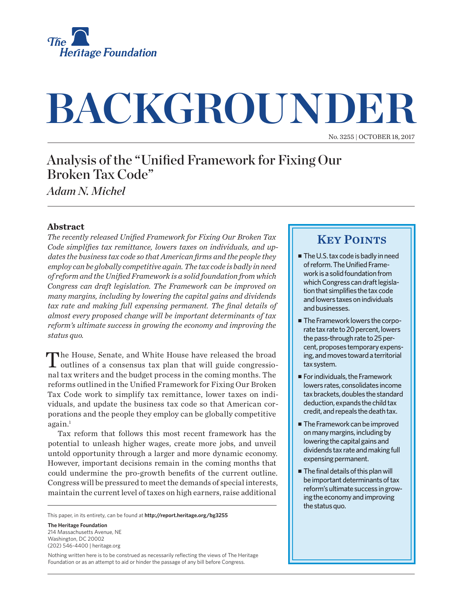

# **BACKGROUNDER**

No. 3255 | October 18, 2017

## Analysis of the "Unified Framework for Fixing Our Broken Tax Code"

*Adam N. Michel*

## **Abstract**

*The recently released Unified Framework for Fixing Our Broken Tax Code simplifies tax remittance, lowers taxes on individuals, and updates the business tax code so that American firms and the people they employ can be globally competitive again. The tax code is badly in need of reform and the Unified Framework is a solid foundation from which Congress can draft legislation. The Framework can be improved on many margins, including by lowering the capital gains and dividends tax rate and making full expensing permanent. The final details of almost every proposed change will be important determinants of tax reform's ultimate success in growing the economy and improving the status quo.*

The House, Senate, and White House have released the broad outlines of a consensus tax plan that will guide congressional tax writers and the budget process in the coming months. The reforms outlined in the Unified Framework for Fixing Our Broken Tax Code work to simplify tax remittance, lower taxes on individuals, and update the business tax code so that American corporations and the people they employ can be globally competitive  $again.<sup>1</sup>$ 

Tax reform that follows this most recent framework has the potential to unleash higher wages, create more jobs, and unveil untold opportunity through a larger and more dynamic economy. However, important decisions remain in the coming months that could undermine the pro-growth benefits of the current outline. Congress will be pressured to meet the demands of special interests, maintain the current level of taxes on high earners, raise additional

This paper, in its entirety, can be found at **http://report.heritage.org/bg3255**

**The Heritage Foundation** 214 Massachusetts Avenue, NF Washington, DC 20002 (202) 546-4400 | heritage.org

Nothing written here is to be construed as necessarily reflecting the views of The Heritage Foundation or as an attempt to aid or hinder the passage of any bill before Congress.

## **KEY POINTS**

- The U.S. tax code is badly in need of reform. The Unified Framework is a solid foundation from which Congress can draft legislation that simplifies the tax code and lowers taxes on individuals and businesses.
- The Framework lowers the corporate tax rate to 20 percent, lowers the pass-through rate to 25 percent, proposes temporary expensing, and moves toward a territorial tax system.
- $\blacksquare$  For individuals, the Framework lowers rates, consolidates income tax brackets, doubles the standard deduction, expands the child tax credit, and repeals the death tax.
- The Framework can be improved on many margins, including by lowering the capital gains and dividends tax rate and making full expensing permanent.
- $\blacksquare$  The final details of this plan will be important determinants of tax reform's ultimate success in growing the economy and improving the status quo.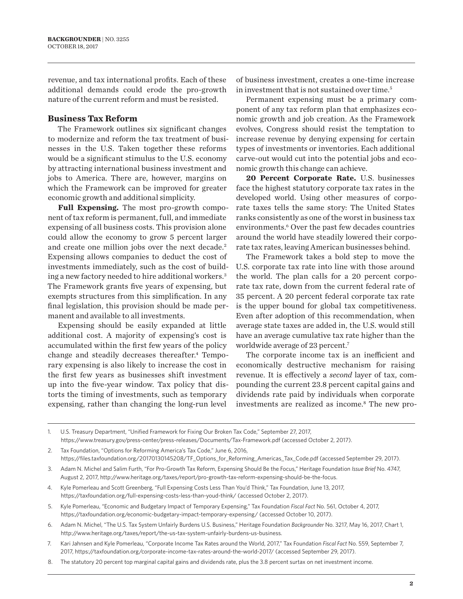revenue, and tax international profits. Each of these additional demands could erode the pro-growth nature of the current reform and must be resisted.

### **Business Tax Reform**

The Framework outlines six significant changes to modernize and reform the tax treatment of businesses in the U.S. Taken together these reforms would be a significant stimulus to the U.S. economy by attracting international business investment and jobs to America. There are, however, margins on which the Framework can be improved for greater economic growth and additional simplicity.

**Full Expensing.** The most pro-growth component of tax reform is permanent, full, and immediate expensing of all business costs. This provision alone could allow the economy to grow 5 percent larger and create one million jobs over the next decade.<sup>2</sup> Expensing allows companies to deduct the cost of investments immediately, such as the cost of building a new factory needed to hire additional workers.3 The Framework grants five years of expensing, but exempts structures from this simplification. In any final legislation, this provision should be made permanent and available to all investments.

Expensing should be easily expanded at little additional cost. A majority of expensing's cost is accumulated within the first few years of the policy change and steadily decreases thereafter.<sup>4</sup> Temporary expensing is also likely to increase the cost in the first few years as businesses shift investment up into the five-year window. Tax policy that distorts the timing of investments, such as temporary expensing, rather than changing the long-run level

of business investment, creates a one-time increase in investment that is not sustained over time.<sup>5</sup>

Permanent expensing must be a primary component of any tax reform plan that emphasizes economic growth and job creation. As the Framework evolves, Congress should resist the temptation to increase revenue by denying expensing for certain types of investments or inventories. Each additional carve-out would cut into the potential jobs and economic growth this change can achieve.

**20 Percent Corporate Rate.** U.S. businesses face the highest statutory corporate tax rates in the developed world. Using other measures of corporate taxes tells the same story: The United States ranks consistently as one of the worst in business tax environments.<sup>6</sup> Over the past few decades countries around the world have steadily lowered their corporate tax rates, leaving American businesses behind.

The Framework takes a bold step to move the U.S. corporate tax rate into line with those around the world. The plan calls for a 20 percent corporate tax rate, down from the current federal rate of 35 percent. A 20 percent federal corporate tax rate is the upper bound for global tax competitiveness. Even after adoption of this recommendation, when average state taxes are added in, the U.S. would still have an average cumulative tax rate higher than the worldwide average of 23 percent.<sup>7</sup>

The corporate income tax is an inefficient and economically destructive mechanism for raising revenue. It is effectively a *second* layer of tax, compounding the current 23.8 percent capital gains and dividends rate paid by individuals when corporate investments are realized as income.<sup>8</sup> The new pro-

1. U.S. Treasury Department, "Unified Framework for Fixing Our Broken Tax Code," September 27, 2017, https://www.treasury.gov/press-center/press-releases/Documents/Tax-Framework.pdf (accessed October 2, 2017).

- 5. Kyle Pomerleau, "Economic and Budgetary Impact of Temporary Expensing," Tax Foundation *Fiscal Fact* No. 561, October 4, 2017, https://taxfoundation.org/economic-budgetary-impact-temporary-expensing/ (accessed October 10, 2017).
- 6. Adam N. Michel, "The U.S. Tax System Unfairly Burdens U.S. Business," Heritage Foundation *Backgrounder* No. 3217, May 16, 2017, Chart 1, http://www.heritage.org/taxes/report/the-us-tax-system-unfairly-burdens-us-business.
- 7. Kari Jahnsen and Kyle Pomerleau, "Corporate Income Tax Rates around the World, 2017," Tax Foundation *Fiscal Fact* No. 559, September 7, 2017, https://taxfoundation.org/corporate-income-tax-rates-around-the-world-2017/ (accessed September 29, 2017).
- 8. The statutory 20 percent top marginal capital gains and dividends rate, plus the 3.8 percent surtax on net investment income.

<sup>2.</sup> Tax Foundation, "Options for Reforming America's Tax Code," June 6, 2016, https://files.taxfoundation.org/20170130145208/TF\_Options\_for\_Reforming\_Americas\_Tax\_Code.pdf (accessed September 29, 2017).

<sup>3.</sup> Adam N. Michel and Salim Furth, "For Pro-Growth Tax Reform, Expensing Should Be the Focus," Heritage Foundation *Issue Brief* No. 4747, August 2, 2017, http://www.heritage.org/taxes/report/pro-growth-tax-reform-expensing-should-be-the-focus.

<sup>4.</sup> Kyle Pomerleau and Scott Greenberg, "Full Expensing Costs Less Than You'd Think," Tax Foundation, June 13, 2017, https://taxfoundation.org/full-expensing-costs-less-than-youd-think/ (accessed October 2, 2017).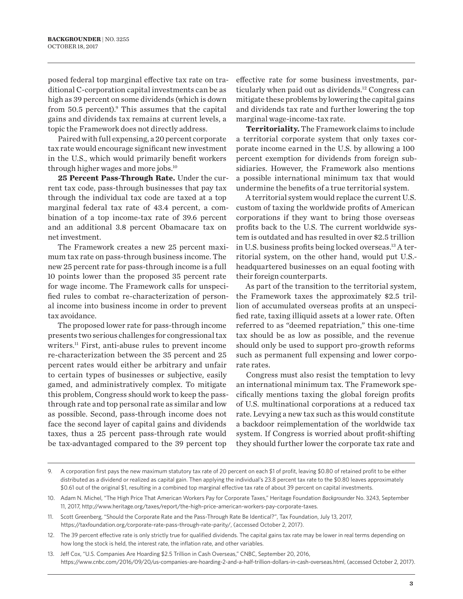posed federal top marginal effective tax rate on traditional C-corporation capital investments can be as high as 39 percent on some dividends (which is down from  $50.5$  percent).<sup>9</sup> This assumes that the capital gains and dividends tax remains at current levels, a topic the Framework does not directly address.

Paired with full expensing, a 20 percent corporate tax rate would encourage significant new investment in the U.S., which would primarily benefit workers through higher wages and more jobs.10

25 Percent Pass-Through Rate. Under the current tax code, pass-through businesses that pay tax through the individual tax code are taxed at a top marginal federal tax rate of 43.4 percent, a combination of a top income-tax rate of 39.6 percent and an additional 3.8 percent Obamacare tax on net investment.

The Framework creates a new 25 percent maximum tax rate on pass-through business income. The new 25 percent rate for pass-through income is a full 10 points lower than the proposed 35 percent rate for wage income. The Framework calls for unspecified rules to combat re-characterization of personal income into business income in order to prevent tax avoidance.

The proposed lower rate for pass-through income presents two serious challenges for congressional tax writers.11 First, anti-abuse rules to prevent income re-characterization between the 35 percent and 25 percent rates would either be arbitrary and unfair to certain types of businesses or subjective, easily gamed, and administratively complex. To mitigate this problem, Congress should work to keep the passthrough rate and top personal rate as similar and low as possible. Second, pass-through income does not face the second layer of capital gains and dividends taxes, thus a 25 percent pass-through rate would be tax-advantaged compared to the 39 percent top

effective rate for some business investments, particularly when paid out as dividends.<sup>12</sup> Congress can mitigate these problems by lowering the capital gains and dividends tax rate and further lowering the top marginal wage-income-tax rate.

**Territoriality.** The Framework claims to include a territorial corporate system that only taxes corporate income earned in the U.S. by allowing a 100 percent exemption for dividends from foreign subsidiaries. However, the Framework also mentions a possible international minimum tax that would undermine the benefits of a true territorial system.

A territorial system would replace the current U.S. custom of taxing the worldwide profits of American corporations if they want to bring those overseas profits back to the U.S. The current worldwide system is outdated and has resulted in over \$2.5 trillion in U.S. business profits being locked overseas.13 A territorial system, on the other hand, would put U.S. headquartered businesses on an equal footing with their foreign counterparts.

As part of the transition to the territorial system, the Framework taxes the approximately \$2.5 trillion of accumulated overseas profits at an unspecified rate, taxing illiquid assets at a lower rate. Often referred to as "deemed repatriation," this one-time tax should be as low as possible, and the revenue should only be used to support pro-growth reforms such as permanent full expensing and lower corporate rates.

Congress must also resist the temptation to levy an international minimum tax. The Framework specifically mentions taxing the global foreign profits of U.S. multinational corporations at a reduced tax rate. Levying a new tax such as this would constitute a backdoor reimplementation of the worldwide tax system. If Congress is worried about profit-shifting they should further lower the corporate tax rate and

<sup>9.</sup> A corporation first pays the new maximum statutory tax rate of 20 percent on each \$1 of profit, leaving \$0.80 of retained profit to be either distributed as a dividend or realized as capital gain. Then applying the individual's 23.8 percent tax rate to the \$0.80 leaves approximately \$0.61 out of the original \$1, resulting in a combined top marginal effective tax rate of about 39 percent on capital investments.

<sup>10.</sup> Adam N. Michel, "The High Price That American Workers Pay for Corporate Taxes," Heritage Foundation *Backgrounder* No. 3243, September 11, 2017, http://www.heritage.org/taxes/report/the-high-price-american-workers-pay-corporate-taxes.

<sup>11.</sup> Scott Greenberg, "Should the Corporate Rate and the Pass-Through Rate Be Identical?", Tax Foundation, July 13, 2017, https://taxfoundation.org/corporate-rate-pass-through-rate-parity/, (accessed October 2, 2017).

<sup>12.</sup> The 39 percent effective rate is only strictly true for qualified dividends. The capital gains tax rate may be lower in real terms depending on how long the stock is held, the interest rate, the inflation rate, and other variables.

<sup>13.</sup> Jeff Cox, "U.S. Companies Are Hoarding \$2.5 Trillion in Cash Overseas," CNBC, September 20, 2016, https://www.cnbc.com/2016/09/20/us-companies-are-hoarding-2-and-a-half-trillion-dollars-in-cash-overseas.html, (accessed October 2, 2017).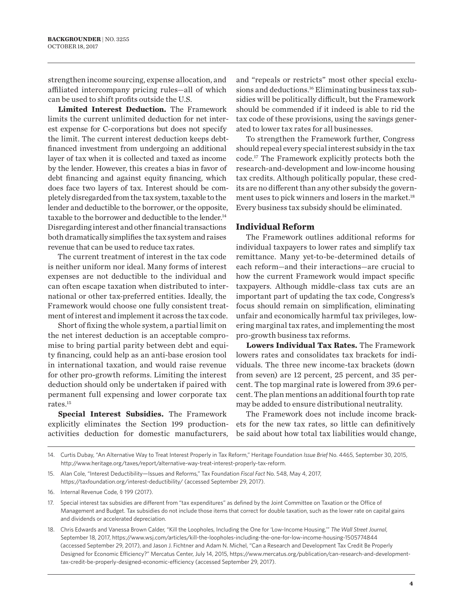strengthen income sourcing, expense allocation, and affiliated intercompany pricing rules—all of which can be used to shift profits outside the U.S.

**Limited Interest Deduction.** The Framework limits the current unlimited deduction for net interest expense for C-corporations but does not specify the limit. The current interest deduction keeps debtfinanced investment from undergoing an additional layer of tax when it is collected and taxed as income by the lender. However, this creates a bias in favor of debt financing and against equity financing, which does face two layers of tax. Interest should be completely disregarded from the tax system, taxable to the lender and deductible to the borrower, or the opposite, taxable to the borrower and deductible to the lender.<sup>14</sup> Disregarding interest and other financial transactions both dramatically simplifies the tax system and raises revenue that can be used to reduce tax rates.

The current treatment of interest in the tax code is neither uniform nor ideal. Many forms of interest expenses are not deductible to the individual and can often escape taxation when distributed to international or other tax-preferred entities. Ideally, the Framework would choose one fully consistent treatment of interest and implement it across the tax code.

Short of fixing the whole system, a partial limit on the net interest deduction is an acceptable compromise to bring partial parity between debt and equity financing, could help as an anti-base erosion tool in international taxation, and would raise revenue for other pro-growth reforms. Limiting the interest deduction should only be undertaken if paired with permanent full expensing and lower corporate tax rates.15

**Special Interest Subsidies.** The Framework explicitly eliminates the Section 199 productionactivities deduction for domestic manufacturers, and "repeals or restricts" most other special exclusions and deductions.<sup>16</sup> Eliminating business tax subsidies will be politically difficult, but the Framework should be commended if it indeed is able to rid the tax code of these provisions, using the savings generated to lower tax rates for all businesses.

To strengthen the Framework further, Congress should repeal every special interest subsidy in the tax code.17 The Framework explicitly protects both the research-and-development and low-income housing tax credits. Although politically popular, these credits are no different than any other subsidy the government uses to pick winners and losers in the market.<sup>18</sup> Every business tax subsidy should be eliminated.

#### **Individual Reform**

The Framework outlines additional reforms for individual taxpayers to lower rates and simplify tax remittance. Many yet-to-be-determined details of each reform—and their interactions—are crucial to how the current Framework would impact specific taxpayers. Although middle-class tax cuts are an important part of updating the tax code, Congress's focus should remain on simplification, eliminating unfair and economically harmful tax privileges, lowering marginal tax rates, and implementing the most pro-growth business tax reforms.

**Lowers Individual Tax Rates.** The Framework lowers rates and consolidates tax brackets for individuals. The three new income-tax brackets (down from seven) are 12 percent, 25 percent, and 35 percent. The top marginal rate is lowered from 39.6 percent. The plan mentions an additional fourth top rate may be added to ensure distributional neutrality.

The Framework does not include income brackets for the new tax rates, so little can definitively be said about how total tax liabilities would change,

<sup>14.</sup> Curtis Dubay, "An Alternative Way to Treat Interest Properly in Tax Reform," Heritage Foundation *Issue Brief* No. 4465, September 30, 2015, http://www.heritage.org/taxes/report/alternative-way-treat-interest-properly-tax-reform.

<sup>15.</sup> Alan Cole, "Interest Deductibility—Issues and Reforms," Tax Foundation *Fiscal Fact* No. 548, May 4, 2017, https://taxfoundation.org/interest-deductibility/ (accessed September 29, 2017).

<sup>16.</sup> Internal Revenue Code, § 199 (2017).

<sup>17.</sup> Special interest tax subsidies are different from "tax expenditures" as defined by the Joint Committee on Taxation or the Office of Management and Budget. Tax subsidies do not include those items that correct for double taxation, such as the lower rate on capital gains and dividends or accelerated depreciation.

<sup>18.</sup> Chris Edwards and Vanessa Brown Calder, "Kill the Loopholes, Including the One for 'Low-Income Housing,'" *The Wall Street Journal*, September 18, 2017, https://www.wsj.com/articles/kill-the-loopholes-including-the-one-for-low-income-housing-1505774844 (accessed September 29, 2017), and Jason J. Fichtner and Adam N. Michel, "Can a Research and Development Tax Credit Be Properly Designed for Economic Efficiency?" Mercatus Center, July 14, 2015, https://www.mercatus.org/publication/can-research-and-developmenttax-credit-be-properly-designed-economic-efficiency (accessed September 29, 2017).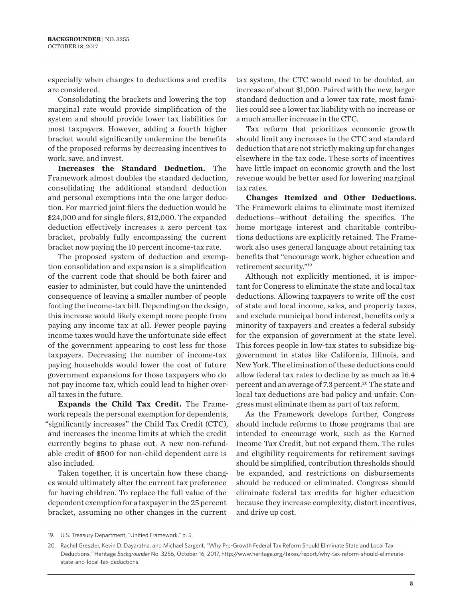especially when changes to deductions and credits are considered.

Consolidating the brackets and lowering the top marginal rate would provide simplification of the system and should provide lower tax liabilities for most taxpayers. However, adding a fourth higher bracket would significantly undermine the benefits of the proposed reforms by decreasing incentives to work, save, and invest.

**Increases the Standard Deduction.** The Framework almost doubles the standard deduction, consolidating the additional standard deduction and personal exemptions into the one larger deduction. For married joint filers the deduction would be \$24,000 and for single filers, \$12,000. The expanded deduction effectively increases a zero percent tax bracket, probably fully encompassing the current bracket now paying the 10 percent income-tax rate.

The proposed system of deduction and exemption consolidation and expansion is a simplification of the current code that should be both fairer and easier to administer, but could have the unintended consequence of leaving a smaller number of people footing the income-tax bill. Depending on the design, this increase would likely exempt more people from paying any income tax at all. Fewer people paying income taxes would have the unfortunate side effect of the government appearing to cost less for those taxpayers. Decreasing the number of income-tax paying households would lower the cost of future government expansions for those taxpayers who do not pay income tax, which could lead to higher overall taxes in the future.

**Expands the Child Tax Credit.** The Framework repeals the personal exemption for dependents, "significantly increases" the Child Tax Credit (CTC), and increases the income limits at which the credit currently begins to phase out. A new non-refundable credit of \$500 for non-child dependent care is also included.

Taken together, it is uncertain how these changes would ultimately alter the current tax preference for having children. To replace the full value of the dependent exemption for a taxpayer in the 25 percent bracket, assuming no other changes in the current

tax system, the CTC would need to be doubled, an increase of about \$1,000. Paired with the new, larger standard deduction and a lower tax rate, most families could see a lower tax liability with no increase or a much smaller increase in the CTC.

Tax reform that prioritizes economic growth should limit any increases in the CTC and standard deduction that are not strictly making up for changes elsewhere in the tax code. These sorts of incentives have little impact on economic growth and the lost revenue would be better used for lowering marginal tax rates.

**Changes Itemized and Other Deductions.**  The Framework claims to eliminate most itemized deductions—without detailing the specifics. The home mortgage interest and charitable contributions deductions are explicitly retained. The Framework also uses general language about retaining tax benefits that "encourage work, higher education and retirement security."19

Although not explicitly mentioned, it is important for Congress to eliminate the state and local tax deductions. Allowing taxpayers to write off the cost of state and local income, sales, and property taxes, and exclude municipal bond interest, benefits only a minority of taxpayers and creates a federal subsidy for the expansion of government at the state level. This forces people in low-tax states to subsidize biggovernment in states like California, Illinois, and New York. The elimination of these deductions could allow federal tax rates to decline by as much as 16.4 percent and an average of 7.3 percent.<sup>20</sup> The state and local tax deductions are bad policy and unfair: Congress must eliminate them as part of tax reform.

As the Framework develops further, Congress should include reforms to those programs that are intended to encourage work, such as the Earned Income Tax Credit, but not expand them. The rules and eligibility requirements for retirement savings should be simplified, contribution thresholds should be expanded, and restrictions on disbursements should be reduced or eliminated. Congress should eliminate federal tax credits for higher education because they increase complexity, distort incentives, and drive up cost.

<sup>19.</sup> U.S. Treasury Department, "Unified Framework," p. 5.

<sup>20.</sup> Rachel Greszler, Kevin D. Dayaratna, and Michael Sargent, "Why Pro-Growth Federal Tax Reform Should Eliminate State and Local Tax Deductions," Heritage *Backgrounder* No. 3256, October 16, 2017, http://www.heritage.org/taxes/report/why-tax-reform-should-eliminatestate-and-local-tax-deductions.